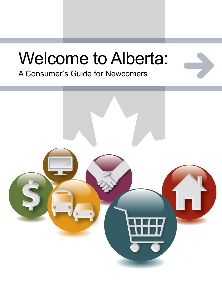# Welcome to Alberta:

A Consumer's Guide for Newcomers

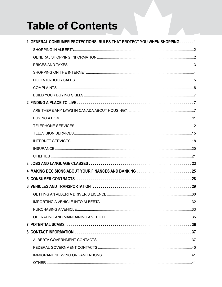# **Table of Contents**

| 1 GENERAL CONSUMER PROTECTIONS: RULES THAT PROTECT YOU WHEN SHOPPING 1 |  |
|------------------------------------------------------------------------|--|
|                                                                        |  |
|                                                                        |  |
|                                                                        |  |
|                                                                        |  |
|                                                                        |  |
|                                                                        |  |
|                                                                        |  |
|                                                                        |  |
|                                                                        |  |
|                                                                        |  |
|                                                                        |  |
|                                                                        |  |
|                                                                        |  |
|                                                                        |  |
|                                                                        |  |
|                                                                        |  |
|                                                                        |  |
|                                                                        |  |
|                                                                        |  |
|                                                                        |  |
|                                                                        |  |
|                                                                        |  |
|                                                                        |  |
|                                                                        |  |
|                                                                        |  |
|                                                                        |  |
|                                                                        |  |
|                                                                        |  |
|                                                                        |  |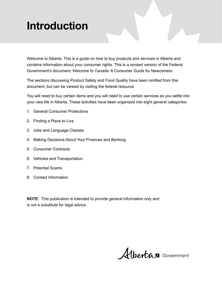# **Introduction**

Welcome to Alberta. This is a guide on how to buy products and services in Alberta and contains information about your consumer rights. This is a revised version of the Federal Government's document: Welcome to Canada: A Consumer Guide for Newcomers.

The sections discussing Product Safety and Food Quality have been omitted from this document, but can be viewed by visiting the federal resource.

You will need to buy certain items and you will need to use certain services as you settle into your new life in Alberta. These activities have been organized into eight general categories:

- 1. General Consumer Protections
- 2. Finding a Place to Live
- 3. Jobs and Language Classes
- 4. Making Decisions About Your Finances and Banking
- 5. Consumer Contracts
- 6. Vehicles and Transportation
- 7. Potential Scams
- 8. Contact Information

**NOTE**: This publication is intended to provide general information only and is not a substitute for legal advice.

Albertan Government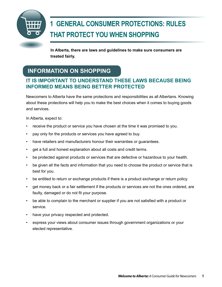# <span id="page-4-0"></span>**1 GENERAL CONSUMER PROTECTIONS: RULES THAT PROTECT YOU WHEN SHOPPING**

**In Alberta, there are laws and guidelines to make sure consumers are treated fairly.**

# **INFORMATION ON SHOPPING**

### **IT IS IMPORTANT TO UNDERSTAND THESE LAWS BECAUSE BEING INFORMED MEANS BEING BETTER PROTECTED**

Newcomers to Alberta have the same protections and responsibilities as all Albertans. Knowing about these protections will help you to make the best choices when it comes to buying goods and services.

In Alberta, expect to:

- receive the product or service you have chosen at the time it was promised to you.
- pay only for the products or services you have agreed to buy.
- have retailers and manufacturers honour their warranties or quarantees.
- get a full and honest explanation about all costs and credit terms.
- be protected against products or services that are defective or hazardous to your health.
- be given all the facts and information that you need to choose the product or service that is best for you.
- be entitled to return or exchange products if there is a product exchange or return policy.
- get money back or a fair settlement if the products or services are not the ones ordered, are faulty, damaged or do not fit your purpose.
- be able to complain to the merchant or supplier if you are not satisfied with a product or service.
- have your privacy respected and protected.
- express your views about consumer issues through government organizations or your elected representative.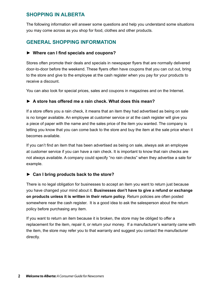### <span id="page-5-0"></span>**SHOPPING IN ALBERTA**

The following information will answer some questions and help you understand some situations you may come across as you shop for food, clothes and other products.

### **GENERAL SHOPPING INFORMATION**

### **► Where can I find specials and coupons?**

Stores often promote their deals and specials in newspaper flyers that are normally delivered door-to-door before the weekend. These flyers often have coupons that you can cut out, bring to the store and give to the employee at the cash register when you pay for your products to receive a discount.

You can also look for special prices, sales and coupons in magazines and on the Internet.

### **► A store has offered me a rain check. What does this mean?**

If a store offers you a rain check, it means that an item they had advertised as being on sale is no longer available. An employee at customer service or at the cash register will give you a piece of paper with the name and the sales price of the item you wanted. The company is letting you know that you can come back to the store and buy the item at the sale price when it becomes available.

If you can't find an item that has been advertised as being on sale, always ask an employee at customer service if you can have a rain check. It is important to know that rain checks are not always available. A company could specify "no rain checks" when they advertise a sale for example.

### **► Can I bring products back to the store?**

There is no legal obligation for businesses to accept an item you want to return just because you have changed your mind about it. **Businesses don't have to give a refund or exchange on products unless it is written in their return policy**. Return policies are often posted somewhere near the cash register. It is a good idea to ask the salesperson about the return policy before purchasing any item.

If you want to return an item because it is broken, the store may be obliged to offer a replacement for the item, repair it, or return your money. If a manufacturer's warranty came with the item, the store may refer you to that warranty and suggest you contact the manufacturer directly.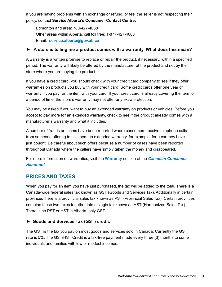<span id="page-6-0"></span>If you are having problems with an exchange or refund, or feel the seller is not respecting their policy, contact **Service Alberta's Consumer Contact Centre:**

Edmonton and area: 780-427-4088 Other areas within Alberta, call toll free: 1-877-427-4088 Email: **[service.alberta@gov.ab.ca](mailto:service.alberta@gov.ab.ca)**

### **► A store is telling me a product comes with a warranty. What does this mean?**

A warranty is a written promise to replace or repair the product, if necessary, within a specified period. The warranty will likely be offered by the manufacturer of the product and not by the store where you are buying the product.

If you have a credit card, you should check with your credit card company to see if they offer warranties on products you buy with your credit card. Some credit cards offer one year of warranty if you pay for the item with your card. If your credit card is already covering the item for a period of time, the store's warranty may not offer any extra protection.

You may be asked if you want to buy an extended warranty on products or vehicles. Before you accept to pay more for an extended warranty, check to see if the product already comes with a manufacturer's warranty and what it includes.

A number of frauds or scams have been reported where consumers receive telephone calls from someone offering to sell them an extended warranty, for example, for a car they have just bought. Be careful about such offers because a number of cases have been reported throughout Canada where the callers have simply taken the money and disappeared.

For more information on warranties, visit the **[Warranty](http://www.consumerhandbook.ca/en/topics/products-and-services/warranties)** section of the *[Canadian Consumer](http://www.consumerhandbook.ca/en/)  [Handbook](http://www.consumerhandbook.ca/en/)*.

### **PRICES AND TAXES**

When you pay for an item you have just purchased, the tax will be added to the total. There is a Canada-wide federal sales tax known as GST (Goods and Services Tax). Additionally in certain provinces there is a provincial sales tax known as PST (Provincial Sales Tax). Certain provinces combine these two taxes together into a single tax known as HST (Harmonized Sales Tax). There is no PST or HST in Alberta, only GST.

### **► Goods and Services Tax (GST) credit.**

The GST is the tax you pay on most goods and services sold in Canada. Currently the GST rate is 5%. The GST/HST Credit is a tax-free payment made every three (3) months to some individuals and families with low or modest incomes.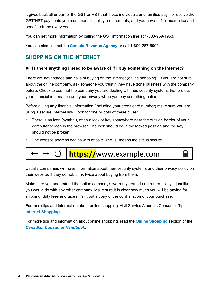<span id="page-7-0"></span>It gives back all or part of the GST or HST that these individuals and families pay. To receive the GST/HST payments you must meet eligibility requirements, and you have to file income tax and benefit returns every year.

You can get more information by calling the GST information line at 1-800-959-1953.

You can also contact the **[Canada Revenue Agency](http://www.cra-arc.gc.ca/menu-eng.html)** or call 1-800-267-6999.

### **SHOPPING ON THE INTERNET**

### **► Is there anything I need to be aware of if I buy something on the Internet?**

There are advantages and risks of buying on the Internet (online shopping). If you are not sure about the online company, ask someone you trust if they have done business with the company before. Check to see that the company you are dealing with has security systems that protect your financial information and your privacy when you buy something online.

Before giving **any** financial information (including your credit card number) make sure you are using a secure Internet link. Look for one or both of these clues:

- There is an icon (symbol), often a lock or key somewhere near the outside border of your computer screen in the browser. The lock should be in the locked position and the key should not be broken
- The website address begins with https://. The "s" means the site is secure.



Usually companies will have information about their security systems and their privacy policy on their website. If they do not, think twice about buying from them.

Make sure you understand the online company's warranty, refund and return policy – just like you would do with any other company. Make sure it is clear how much you will be paying for shipping, duty fees and taxes. Print out a copy of the confirmation of your purchase.

For more tips and information about online shopping, visit Service Alberta's Consumer Tips: **[Internet Shopping](http://www.servicealberta.gov.ab.ca/pdf/tipsheets/Internet_shopping.pdf).**

For more tips and information about online shopping, read the **[Online Shopping](http://www.consumerhandbook.ca/en/topics/consumer-protection/online-shopping)** section of the *[Canadian Consumer Handbook](http://www.consumerhandbook.ca/en/)*.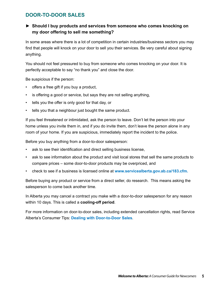### <span id="page-8-0"></span>**DOOR-TO-DOOR SALES**

### **► Should I buy products and services from someone who comes knocking on my door offering to sell me something?**

In some areas where there is a lot of competition in certain industries/business sectors you may find that people will knock on your door to sell you their services. Be very careful about signing anything.

You should not feel pressured to buy from someone who comes knocking on your door. It is perfectly acceptable to say "no thank you" and close the door.

Be suspicious if the person:

- offers a free gift if you buy a product,
- is offering a good or service, but says they are not selling anything,
- tells you the offer is only good for that day, or
- tells you that a neighbour just bought the same product.

If you feel threatened or intimidated, ask the person to leave. Don't let the person into your home unless you invite them in, and if you do invite them, don't leave the person alone in any room of your home. If you are suspicious, immediately report the incident to the police.

Before you buy anything from a door-to-door salesperson:

- ask to see their identification and direct selling business license,
- ask to see information about the product and visit local stores that sell the same products to compare prices – some door-to-door products may be overpriced, and
- check to see if a business is licensed online at **[www.servicealberta.gov.ab.ca/183.cfm.](http://www.servicealberta.gov.ab.ca/183.cfm)**

Before buying any product or service from a direct seller, do research. This means asking the salesperson to come back another time.

In Alberta you may cancel a contract you make with a door-to-door salesperson for any reason within 10 days. This is called a **cooling-off period**.

For more information on door-to-door sales, including extended cancellation rights, read Service Alberta's Consumer Tips: **[Dealing with Door-to-Door Sales](http://www.servicealberta.ca/pdf/tipsheets/Dealing_with_door_to_door_sales.pdf)***.*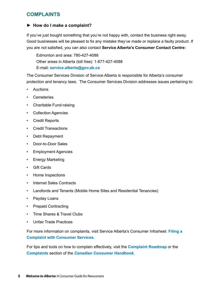### <span id="page-9-0"></span>**COMPLAINTS**

### **► How do I make a complaint?**

If you've just bought something that you're not happy with, contact the business right away. Good businesses will be pleased to fix any mistake they've made or replace a faulty product. If you are not satisfied, you can also contact **Service Alberta's Consumer Contact Centre:**

Edmonton and area: 780-427-4088 Other areas in Alberta (toll free): 1-877-427-4088 E-mail: **[service.alberta@gov.ab.ca](mailto:service.alberta@gov.ab.ca)**

The Consumer Services Division of Service Alberta is responsible for Alberta's consumer protection and tenancy laws*.* The Consumer Services Division addresses issues pertaining to:

- • Auctions
- • Cemeteries
- • Charitable Fund-raising
- • Collection Agencies
- • Credit Reports
- • Credit Transactions
- • Debt Repayment
- • Door-to-Door Sales
- • Employment Agencies
- • Energy Marketing
- • Gift Cards
- • Home Inspections
- • Internet Sales Contracts
- Landlords and Tenants (Mobile Home Sites and Residential Tenancies)
- Payday Loans
- • Prepaid Contracting
- • Time Shares & Travel Clubs
- • Unfair Trade Practices

For more information on complaints, visit Service Alberta's Consumer Infosheet: **[Filing a](http://www.servicealberta.gov.ab.ca/pdf/tipsheets/filing_a_complaint_with_cs.pdf)  [Complaint with Consumer Services](http://www.servicealberta.gov.ab.ca/pdf/tipsheets/filing_a_complaint_with_cs.pdf).**

For tips and tools on how to complain effectively, visit the **[Complaint Roadmap](http://www.consumerinformation.ca/eic/site/032.nsf/eng/h_01165.html)** or the **[Complaints](http://www.consumerhandbook.ca/en/topics/products-and-services/complaints)** section of the *[Canadian Consumer Handbook](http://www.consumerhandbook.ca/en/)*.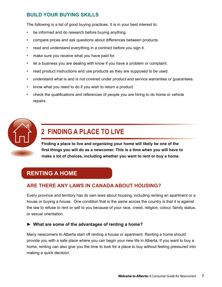### <span id="page-10-0"></span>**BUILD YOUR BUYING SKILLS**

The following is a list of good buying practices. It is in your best interest to:

- be informed and do research before buying anything.
- compare prices and ask questions about differences between products.
- read and understand everything in a contract before you sign it.
- make sure you receive what you have paid for.
- let a business you are dealing with know if you have a problem or complaint.
- read product instructions and use products as they are supposed to be used.
- • understand what is and is not covered under product and service warranties or guarantees.
- know what you need to do if you wish to return a product.
- check the qualifications and references of people you are hiring to do home or vehicle repairs.



# **2 FINDING A PLACE TO LIVE**

**Finding a place to live and organizing your home will likely be one of the first things you will do as a newcomer. This is a time when you will have to make a lot of choices, including whether you want to rent or buy a home.**

### **RENTING A HOME**

### **ARE THERE ANY LAWS IN CANADA ABOUT HOUSING?**

Every province and territory has its own laws about housing, including renting an apartment or a house or buying a house. One condition that is the same across the country is that it is against the law to refuse to rent or sell to you because of your race, creed, religion, colour, family status, or sexual orientation.

### **► What are some of the advantages of renting a home?**

Many newcomers to Alberta start off renting a house or apartment. Renting a home should provide you with a safe place where you can begin your new life in Alberta. If you want to buy a home, renting can also give you the time to look for a place to buy without feeling pressured into making a quick decision.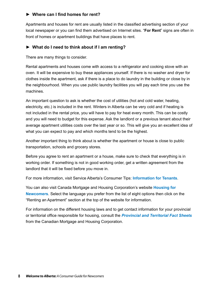### **► Where can I find homes for rent?**

Apartments and houses for rent are usually listed in the classified advertising section of your local newspaper or you can find them advertised on Internet sites. "**For Rent**" signs are often in front of homes or apartment buildings that have places to rent.

### **► What do I need to think about if I am renting?**

There are many things to consider.

Rental apartments and houses come with access to a refrigerator and cooking stove with an oven. It will be expensive to buy these appliances yourself. If there is no washer and dryer for clothes inside the apartment, ask if there is a place to do laundry in the building or close by in the neighbourhood. When you use public laundry facilities you will pay each time you use the machines.

An important question to ask is whether the cost of utilities (hot and cold water, heating, electricity, etc.) is included in the rent. Winters in Alberta can be very cold and if heating is not included in the rental price, you will have to pay for heat every month. This can be costly and you will need to budget for this expense. Ask the landlord or a previous tenant about their average apartment utilities costs over the last year or so. This will give you an excellent idea of what you can expect to pay and which months tend to be the highest.

Another important thing to think about is whether the apartment or house is close to public transportation, schools and grocery stores.

Before you agree to rent an apartment or a house, make sure to check that everything is in working order. If something is not in good working order, get a written agreement from the landlord that it will be fixed before you move in.

For more information, visit Service Alberta's Consumer Tips: **[Information for Tenants](http://www.servicealberta.gov.ab.ca/pdf/tipsheets/Information_for_tenants.pdf)**.

You can also visit Canada Mortgage and Housing Corporation's website **[Housing for](http://www.cmhc.ca/newcomers/index.html)  [Newcomers](http://www.cmhc.ca/newcomers/index.html)**. Select the language you prefer from the list of eight options then click on the "Renting an Apartment" section at the top of the website for information.

For information on the different housing laws and to get contact information for your provincial or territorial office responsible for housing, consult the *[Provincial and Territorial Fact Sheets](http://www.cmhc.ca/en/co/reho/yogureho/fash/index.cfm)* from the Canadian Mortgage and Housing Corporation.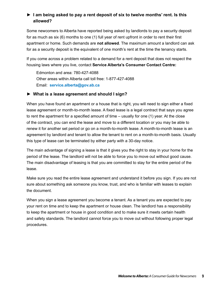### **► I am being asked to pay a rent deposit of six to twelve months' rent. Is this allowed?**

Some newcomers to Alberta have reported being asked by landlords to pay a security deposit for as much as six (6) months to one (1) full year of rent upfront in order to rent their first apartment or home. Such demands are **not allowed**. The maximum amount a landlord can ask for as a security deposit is the equivalent of one month's rent at the time the tenancy starts.

If you come across a problem related to a demand for a rent deposit that does not respect the housing laws where you live, contact **Service Alberta's Consumer Contact Centre:**

Edmonton and area: 780-427-4088 Other areas within Alberta call toll free: 1-877-427-4088 Email: **[service.alberta@gov.ab.ca](mailto:service.alberta@gov.ab.ca)**

### **► What is a lease agreement and should I sign?**

When you have found an apartment or a house that is right, you will need to sign either a fixed lease agreement or month-to-month lease. A fixed lease is a legal contract that says you agree to rent the apartment for a specified amount of time – usually for one (1) year. At the close of the contract, you can end the lease and move to a different location or you may be able to renew it for another set period or go on a month-to-month lease. A month-to-month lease is an agreement by landlord and tenant to allow the tenant to rent on a month-to-month basis. Usually this type of lease can be terminated by either party with a 30-day notice.

The main advantage of signing a lease is that it gives you the right to stay in your home for the period of the lease. The landlord will not be able to force you to move out without good cause. The main disadvantage of leasing is that you are committed to stay for the entire period of the lease.

Make sure you read the entire lease agreement and understand it before you sign. If you are not sure about something ask someone you know, trust, and who is familiar with leases to explain the document.

When you sign a lease agreement you become a tenant. As a tenant you are expected to pay your rent on time and to keep the apartment or house clean. The landlord has a responsibility to keep the apartment or house in good condition and to make sure it meets certain health and safety standards. The landlord cannot force you to move out without following proper legal procedures.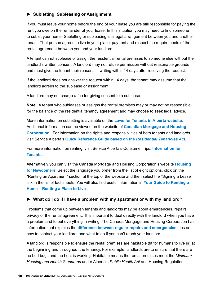### **► Subletting, Subleasing or Assignment**

If you must leave your home before the end of your lease you are still responsible for paying the rent you owe on the remainder of your lease. In this situation you may need to find someone to sublet your home. Subletting or subleasing is a legal arrangement between you and another tenant. That person agrees to live in your place, pay rent and respect the requirements of the rental agreement between you and your landlord.

A tenant cannot sublease or assign the residential rental premises to someone else without the landlord's written consent. A landlord may not refuse permission without reasonable grounds and must give the tenant their reasons in writing within 14 days after receiving the request.

If the landlord does not answer the request within 14 days, the tenant may assume that the landlord agrees to the sublease or assignment.

A landlord may not charge a fee for giving consent to a sublease.

**Note**: A tenant who subleases or assigns the rental premises may or may not be responsible for the balance of the residential tenancy agreement and may choose to seek legal advice.

More information on subletting is available on the **[Laws for Tenants in Alberta website](http://tenant.landlordandtenant.org/movinginfacts/sub_lease.aspx)**. Additional information can be viewed on the website of **[Canadian Mortgage and Housing](http://www.cmhc-schl.gc.ca/en/co/reho/yogureho/fore/moou/moou_004.cfm)  [Corporation.](http://www.cmhc-schl.gc.ca/en/co/reho/yogureho/fore/moou/moou_004.cfm)** For information on the rights and responsibilities of both tenants and landlords, visit Service Alberta's **[Quick Reference Guide based on the](http://www.servicealberta.gov.ab.ca/pdf/RTA/RTA_Quick_Reference_Guide.pdf)** *Residential Tenancies Act*.

For more information on renting, visit Service Alberta's Consumer Tips: **[Information for](http://www.servicealberta.ca/pdf/tipsheets/Information_for_tenants.pdf)  [Tenants.](http://www.servicealberta.ca/pdf/tipsheets/Information_for_tenants.pdf)**

Alternatively you can visit the Canada Mortgage and Housing Corporation's website **[Housing](http://www.cmhc.ca/newcomers/index.html)  [for Newcomers](http://www.cmhc.ca/newcomers/index.html)**. Select the language you prefer from the list of eight options, click on the "Renting an Apartment" section at the top of the website and then select the "Signing a Lease" link in the list of fact sheets. You will also find useful information in **[Your Guide to Renting a](http://www.cmhc.ca/en/co/reho/yogureho/fore/replli/index.cfm)  [Home – Renting a Place to Live](http://www.cmhc.ca/en/co/reho/yogureho/fore/replli/index.cfm)**.

### **► What do I do if I have a problem with my apartment or with my landlord?**

Problems that come up between tenants and landlords may be about emergencies, repairs, privacy or the rental agreement. It is important to deal directly with the landlord when you have a problem and to put everything in writing. The Canada Mortgage and Housing Corporation has information that explains the **[difference between regular repairs and emergencies](http://www.cmhc.gc.ca/en/co/reho/yogureho/fore/isdute/isdute_001.cfm#bullet1)**, tips on how to contact your landlord, and what to do if you can't reach your landlord.

A landlord is responsible to ensure the rental premises are habitable (fit for humans to live in) at the beginning and throughout the tenancy. For example, landlords are to ensure that there are no bed bugs and the heat is working. Habitable means the rental premises meet the *Minimum Housing and Health Standards* under Alberta's *Public Health Act* and Housing Regulation.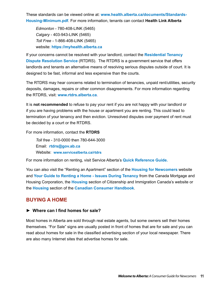<span id="page-14-0"></span>These standards can be viewed online at: **[www.health.alberta.ca/documents/Standards-](http://www.health.alberta.ca/documents/Standards-Housing-Minimum.pdf)[Housing-Minimum.pdf](http://www.health.alberta.ca/documents/Standards-Housing-Minimum.pdf)**. For more information, tenants can contact **Health Link Alberta**

*Edmonton* - 780-408-LINK (5465) *Calgary* - 403-943-LINK (5465) *Toll Free -* 1-866-408-LINK (5465) website: **[https://myhealth.alberta.ca](https://myhealth.alberta.ca/)**

If your concerns cannot be resolved with your landlord, contact the **[Residential Tenancy](http://www.servicealberta.ca/rtdrs/)  [Dispute Resolution Service](http://www.servicealberta.ca/rtdrs/)** (RTDRS). The RTDRS is a government service that offers landlords and tenants an alternative means of resolving serious disputes outside of court. It is designed to be fast, informal and less expensive than the courts.

The RTDRS may hear concerns related to termination of tenancies, unpaid rent/utilities, security deposits, damages, repairs or other common disagreements. For more information regarding the RTDRS, visit: **[www.rtdrs.alberta.ca](http://www.servicealberta.ca/rtdrs/)**.

It is **not recommended** to refuse to pay your rent if you are not happy with your landlord or if you are having problems with the house or apartment you are renting. This could lead to termination of your tenancy and then eviction. Unresolved disputes over payment of rent must be decided by a court or the RTDRS.

For more information, contact the **RTDRS**

*Toll free* - 310-0000 then 780-644-3000 Email: **[rtdrs@gov.ab.ca](mailto:rtdrs@gov.ab.ca)** Website: **[www.servicealberta.ca/rtdrs](http://www.servicealberta.ca/rtdrs/)**

For more information on renting, visit Service Alberta's **[Quick Reference Guide](http://www.servicealberta.gov.ab.ca/pdf/RTA/RTA_Quick_Reference_Guide.pdf).** 

You can also visit the "Renting an Apartment" section of the **[Housing for Newcomers](http://www.cmhc.ca/newcomers/index.html)** website and **[Your Guide to Renting a Home - Issues During Tenancy](http://www.cmhc.ca/en/co/reho/yogureho/fore/isdute/index.cfm)** from the Canada Mortgage and Housing Corporation, the **[Housing](http://www.cic.gc.ca/english/newcomers/after-housing.asp)** section of Citizenship and Immigration Canada's website or the **[Housing](http://www.consumerhandbook.ca/en/topics/housing/housing)** section of the **[Canadian Consumer Handbook](http://www.consumerhandbook.ca/en/)**.

### **BUYING A HOME**

### **► Where can I find homes for sale?**

Most homes in Alberta are sold through real estate agents, but some owners sell their homes themselves. "For Sale" signs are usually posted in front of homes that are for sale and you can read about homes for sale in the classified advertising section of your local newspaper. There are also many Internet sites that advertise homes for sale.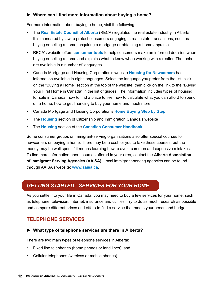### <span id="page-15-0"></span>**► Where can I find more information about buying a home?**

For more information about buying a home, visit the following:

- The **[Real Estate Council of Alberta](http://www.reca.ca)** (RECA) regulates the real estate industry in Alberta. It is mandated by law to protect consumers engaging in real estate transactions, such as buying or selling a home, acquiring a mortgage or obtaining a home appraisal.
- RECA's website offers **[consumer tools](http://www.reca.ca/consumers/content/consumer-information/consumer-tools.htm)** to help consumers make an informed decision when buying or selling a home and explains what to know when working with a realtor. The tools are available in a number of languages.
- • Canada Mortgage and Housing Corporation's website **[Housing for Newcomers](http://www.cmhc.ca/newcomers/index.html)** has information available in eight languages. Select the language you prefer from the list, click on the "Buying a Home" section at the top of the website, then click on the link to the "Buying Your First Home in Canada" in the list of guides. The information includes types of housing for sale in Canada, how to find a place to live, how to calculate what you can afford to spend on a home, how to get financing to buy your home and much more.
- • Canada Mortgage and Housing Corporation's **[Home Buying Step by Step](http://www.cmhc.gc.ca/en/co/buho/hostst/index.cfm)**
- • The **[Housing](http://www.cic.gc.ca/english/newcomers/after-housing.asp)** section of Citizenship and Immigration Canada's website
- • The **[Housing](http://www.consumerhandbook.ca/en/topics/housing/housing)** section of the **[Canadian Consumer Handbook](http://www.consumerhandbook.ca/en/)**

Some consumer groups or immigrant-serving organizations also offer special courses for newcomers on buying a home. There may be a cost for you to take these courses, but the money may be well spent if it means learning how to avoid common and expensive mistakes. To find more information about courses offered in your area, contact the **Alberta Association of Immigrant Serving Agencies (AAISA)**. Local immigrant-serving agencies can be found through AAISA's website: **[www.aaisa.ca](http://www.aaisa.ca/)**.

### *GETTING STARTED: SERVICES FOR YOUR HOME*

As you settle into your life in Canada, you may need to buy a few services for your home, such as telephone, television, Internet, insurance and utilities. Try to do as much research as possible and compare different prices and offers to find a service that meets your needs and budget.

### **TELEPHONE SERVICES**

### **► What type of telephone services are there in Alberta?**

There are two main types of telephone services in Alberta:

- Fixed line telephones (home phones or land lines); and
- • Cellular telephones (wireless or mobile phones).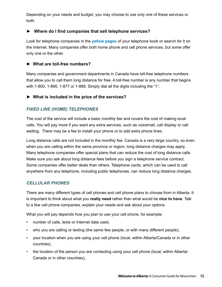Depending on your needs and budget, you may choose to use only one of these services or both.

### **► Where do I find companies that sell telephone services?**

Look for telephone companies in the **[yellow pages](http://www.yellowpages.ca/)** of your telephone book or search for it on the Internet. Many companies offer both home phone and cell phone services, but some offer only one or the other.

### **► What are toll-free numbers?**

Many companies and government departments in Canada have toll-free telephone numbers that allow you to call them long distance for free. A toll-free number is any number that begins with 1-800, 1-866, 1-877 or 1-888. Simply dial all the digits including the "1".

### **► What is included in the price of the services?**

### *FIXED LINE (HOME) TELEPHONES*

The cost of the service will include a basic monthly fee and covers the cost of making local calls. You will pay more if you want any extra services, such as voicemail, call display or call waiting. There may be a fee to install your phone or to add extra phone lines.

Long distance calls are not included in the monthly fee. Canada is a very large country, so even when you are calling within the same province or region, long distance charges may apply. Many telephone companies offer special plans that can reduce the cost of long distance calls. Make sure you ask about long distance fees before you sign a telephone service contract. Some companies offer better deals than others. Telephone cards, which can be used to call anywhere from any telephone, including public telephones, can reduce long distance charges.

### *CELLULAR PHONES*

There are many different types of cell phones and cell phone plans to choose from in Alberta. It is important to think about what you **really need** rather than what would be **nice to have**. Talk to a few cell phone companies, explain your needs and ask about your options.

What you will pay depends how you plan to use your cell phone, for example:

- • number of calls, texts or Internet data used,
- who you are calling or texting (the same few people, or with many different people),
- • your location when you are using your cell phone (local, within Alberta/Canada or in other countries),
- the location of the person you are contacting using your cell phone (local, within Alberta) Canada or in other countries),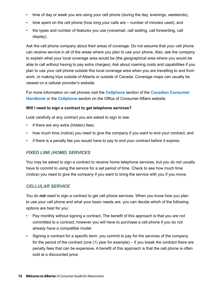- time of day or week you are using your cell phone (during the day, evenings, weekends),
- time spent on the cell phone (how long your calls are  $-$  number of minutes used), and
- the types and number of features you use (voicemail, call waiting, call forwarding, call display).

Ask the cell phone company about their areas of coverage. Do not assume that your cell phone can receive service in all of the areas where you plan to use your phone. Also, ask the company to explain what your local coverage area would be (the geographical area where you would be able to call without having to pay extra charges). Ask about roaming costs and capabilities if you plan to use your cell phone outside this local coverage area when you are travelling to and from work, or making trips outside of Alberta or outside of Canada. Coverage maps can usually be viewed on a cellular provider's website.

For more information on cell phones visit the **[Cellphone](http://www.consumerhandbook.ca/en/topics/products-and-services/cellphones)** section of the **[Canadian Consumer](http://www.consumerhandbook.ca/en/)  [Handbook](http://www.consumerhandbook.ca/en/)** or the **[Cellphone](http://www.ic.gc.ca/consumer)** section on the Office of Consumer Affairs website.

### **Will I need to sign a contract to get telephone services?**

Look carefully at any contract you are asked to sign to see:

- if there are any extra (hidden) fees;
- how much time (notice) you need to give the company if you want to end your contract; and
- • if there is a penalty fee you would have to pay to end your contract before it expires.

### *FIXED LINE (HOME) SERVICES*

You may be asked to sign a contract to receive home telephone services, but you do not usually have to commit to using the service for a set period of time. Check to see how much time (notice) you need to give the company if you want to bring the service with you if you move.

### *CELLULAR SERVICE*

You do **not** need to sign a contract to get cell phone services. When you know how you plan to use your cell phone and what your basic needs are, you can decide which of the following options are best for you:

- Pay monthly without signing a contract. The benefit of this approach is that you are not committed to a contract; however you will have to purchase a cell phone if you do not already have a compatible model.
- Signing a contract for a specific term: you commit to pay for the services of the company for the period of the contract (one (1) year for example) – if you break the contract there are penalty fees that can be expensive. A benefit of this approach is that the cell phone is often sold at a discounted price.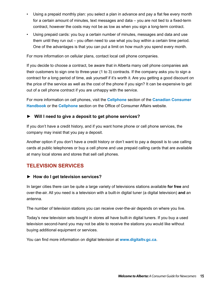- <span id="page-18-0"></span>Using a prepaid monthly plan: you select a plan in advance and pay a flat fee every month for a certain amount of minutes, text messages and data – you are not tied to a fixed-term contract, however the costs may not be as low as when you sign a long-term contract.
- Using prepaid cards: you buy a certain number of minutes, messages and data and use them until they run out – you often need to use what you buy within a certain time period. One of the advantages is that you can put a limit on how much you spend every month.

For more information on cellular plans, contact local cell phone companies.

If you decide to choose a contract, be aware that in Alberta many cell phone companies ask their customers to sign one to three-year (1 to 3) contracts. If the company asks you to sign a contract for a long period of time, ask yourself if it's worth it. Are you getting a good discount on the price of the service as well as the cost of the phone if you sign? It can be expensive to get out of a cell phone contract if you are unhappy with the service.

For more information on cell phones, visit the **[Cellphone](http://www.consumerhandbook.ca/en/topics/products-and-services/cellphones)** section of the **[Canadian Consumer](http://www.consumerhandbook.ca/en/)  [Handbook](http://www.consumerhandbook.ca/en/)** or the **[Cellphone](http://www.ic.gc.ca/eic/site/oca-bc.nsf/eng/h_ca02269.html)** section on the Office of Consumer Affairs website.

### **► Will I need to give a deposit to get phone services?**

If you don't have a credit history, and if you want home phone or cell phone services, the company may insist that you pay a deposit.

Another option if you don't have a credit history or don't want to pay a deposit is to use calling cards at public telephones or buy a cell phone and use prepaid calling cards that are available at many local stores and stores that sell cell phones.

### **TELEVISION SERVICES**

### **► How do I get television services?**

In larger cities there can be quite a large variety of televisions stations available **for free** and over-the-air. All you need is a television with a built-in digital tuner (a digital television) **and** an antenna.

The number of television stations you can receive over-the-air depends on where you live.

Today's new television sets bought in stores all have built-in digital tuners. If you buy a used television second-hand you may not be able to receive the stations you would like without buying additional equipment or services.

You can find more information on digital television at **<www.digitaltv.gc.ca>**.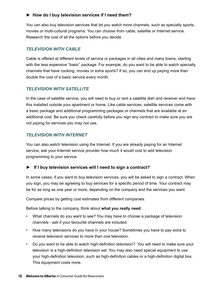### **► How do I buy television services if I need them?**

You can also buy television services that let you watch more channels, such as specialty sports, movies or multi-cultural programs. You can choose from cable, satellite or Internet service. Research the cost of all the options before you decide.

### *TELEVISION WITH CABLE*

Cable is offered at different levels of service or packages in all cities and many towns, starting with the less expensive "basic" package. For example, do you want to be able to watch specialty channels that have cooking, movies or extra sports? If so, you can end up paying more than double the cost of a basic service every month.

### *TELEVISION WITH SATELLITE*

In the case of satellite service, you will need to buy or rent a satellite dish and receiver and have this installed outside your apartment or home. Like cable services, satellite services come with a basic package and additional programming packages or channels that are available at an additional cost. Be sure you check carefully before you sign any contract to make sure you are not paying for services you may not use.

### *TELEVISION WITH INTERNET*

You can also watch television using the Internet. If you are already paying for an Internet service, ask your Internet service provider how much it would cost to add television programming to your service.

### **► If I buy television services will I need to sign a contract?**

In some cases, if you want to buy television services, you will be asked to sign a contract. When you sign, you may be agreeing to buy services for a specific period of time. Your contract may be for as long as one year or more, depending on the company and the services you want.

Compare prices by getting cost estimates from different companies.

Before talking to the company, think about **what you really need**:

- What channels do you want to see? You may have to choose a package of television channels - ask if your favourite channels are included.
- How many televisions do you have in your house? Sometimes you have to pay extra to receive television services to more than one television.
- Do you want to be able to watch high-definition television? You will need to make sure your television is a high-definition television set. You may also need special equipment to use your high-definition television, such as high-definition cables or a high-definition digital box. This equipment costs more.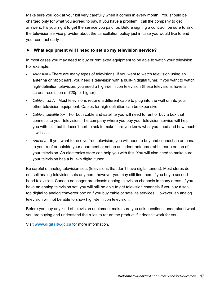Make sure you look at your bill very carefully when it comes in every month. You should be charged only for what you agreed to pay. If you have a problem, call the company to get answers. It's your right to get the service you paid for. Before signing a contract, be sure to ask the television service provider about the cancellation policy just in case you would like to end your contract early.

### **► What equipment will I need to set up my television service?**

In most cases you may need to buy or rent extra equipment to be able to watch your television. For example,

- Television There are many types of televisions. If you want to watch television using an antenna or rabbit ears, you need a television with a built-in digital tuner. If you want to watch high-definition television, you need a high-definition television (these televisions have a screen resolution of 720p or higher).
- Cable or cords Most televisions require a different cable to plug into the wall or into your other television equipment. Cables for high definition can be expensive.
- Cable or satellite box For both cable and satellite you will need to rent or buy a box that connects to your television. The company where you buy your television service will help you with this, but it doesn't hurt to ask to make sure you know what you need and how much it will cost.
- Antenna If you want to receive free television, you will need to buy and connect an antenna to your roof or outside your apartment or set up an indoor antenna (rabbit ears) on top of your television. An electronics store can help you with this. You will also need to make sure your television has a built-in digital tuner.

Be careful of analog television sets (televisions that don't have digital tuners). Most stores do not sell analog television sets anymore, however you may still find them if you buy a secondhand television. Canada no longer broadcasts analog television channels in many areas. If you have an analog television set, you will still be able to get television channels if you buy a settop digital to analog converter box or if you buy cable or satellite services. However, an analog television will not be able to show high-definition television.

Before you buy any kind of television equipment make sure you ask questions, understand what you are buying and understand the rules to return the product if it doesn't work for you.

Visit **<www.digitaltv.gc.ca>** for more information.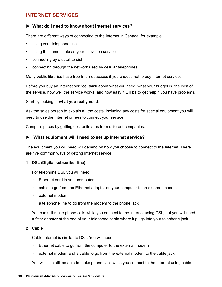### <span id="page-21-0"></span>**INTERNET SERVICES**

### **► What do I need to know about Internet services?**

There are different ways of connecting to the Internet in Canada, for example:

- using your telephone line
- using the same cable as your television service
- connecting by a satellite dish
- connecting through the network used by cellular telephones

Many public libraries have free Internet access if you choose not to buy Internet services.

Before you buy an Internet service, think about what you need, what your budget is, the cost of the service, how well the service works, and how easy it will be to get help if you have problems.

Start by looking at **what you really need**.

Ask the sales person to explain **all** the costs, including any costs for special equipment you will need to use the Internet or fees to connect your service.

Compare prices by getting cost estimates from different companies.

### **► What equipment will I need to set up Internet service?**

The equipment you will need will depend on how you choose to connect to the Internet. There are five common ways of getting Internet service:

### **1 DSL (Digital subscriber line)**

For telephone DSL you will need:

- • Ethernet card in your computer
- cable to go from the Ethernet adapter on your computer to an external modem
- external modem
- a telephone line to go from the modem to the phone jack

You can still make phone calls while you connect to the Internet using DSL, but you will need a fitter adapter at the end of your telephone cable where it plugs into your telephone jack.

#### **2 Cable**

Cable Internet is similar to DSL. You will need:

- Ethernet cable to go from the computer to the external modem
- • external modem and a cable to go from the external modem to the cable jack

You will also still be able to make phone calls while you connect to the Internet using cable.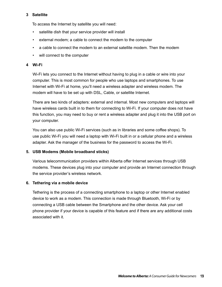### **3 Satellite**

To access the Internet by satellite you will need:

- satellite dish that your service provider will install
- • external modem; a cable to connect the modem to the computer
- • a cable to connect the modem to an external satellite modem. Then the modem
- will connect to the computer

### **4 Wi-Fi**

Wi-Fi lets you connect to the Internet without having to plug in a cable or wire into your computer. This is most common for people who use laptops and smartphones. To use Internet with Wi-Fi at home, you'll need a wireless adapter and wireless modem. The modem will have to be set up with DSL, Cable, or satellite Internet.

There are two kinds of adapters: external and internal. Most new computers and laptops will have wireless cards built in to them for connecting to Wi-Fi. If your computer does not have this function, you may need to buy or rent a wireless adapter and plug it into the USB port on your computer.

You can also use public Wi-Fi services (such as in libraries and some coffee shops). To use public Wi-Fi you will need a laptop with Wi-Fi built in or a cellular phone and a wireless adapter. Ask the manager of the business for the password to access the Wi-Fi.

### **5. USB Modems (Mobile broadband sticks)**

Various telecommunication providers within Alberta offer Internet services through USB modems. These devices plug into your computer and provide an Internet connection through the service provider's wireless network.

### **6. Tethering via a mobile device**

Tethering is the process of a connecting smartphone to a laptop or other Internet enabled device to work as a modem. This connection is made through Bluetooth, Wi-Fi or by connecting a USB cable between the Smartphone and the other device. Ask your cell phone provider if your device is capable of this feature and if there are any additional costs associated with it.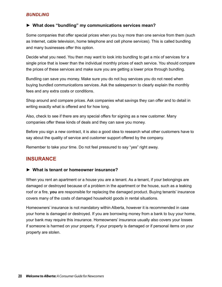### <span id="page-23-0"></span>*BUNDLING*

### **► What does "bundling" my communications services mean?**

Some companies that offer special prices when you buy more than one service from them (such as Internet, cable television, home telephone and cell phone services). This is called bundling and many businesses offer this option.

Decide what you need. You then may want to look into bundling to get a mix of services for a single price that is lower than the individual monthly prices of each service. You should compare the prices of these services and make sure you are getting a lower price through bundling.

Bundling can save you money. Make sure you do not buy services you do not need when buying bundled communications services. Ask the salesperson to clearly explain the monthly fees and any extra costs or conditions.

Shop around and compare prices. Ask companies what savings they can offer and to detail in writing exactly what is offered and for how long.

Also, check to see if there are any special offers for signing as a new customer. Many companies offer these kinds of deals and they can save you money.

Before you sign a new contract, it is also a good idea to research what other customers have to say about the quality of service and customer support offered by the company.

Remember to take your time. Do not feel pressured to say "yes" right away.

### **INSURANCE**

### **► What is tenant or homeowner insurance?**

When you rent an apartment or a house you are a tenant. As a tenant, if your belongings are damaged or destroyed because of a problem in the apartment or the house, such as a leaking roof or a fire, **you** are responsible for replacing the damaged product. Buying tenants' insurance covers many of the costs of damaged household goods in rental situations.

Homeowners' insurance is not mandatory within Alberta, however it is recommended in case your home is damaged or destroyed. If you are borrowing money from a bank to buy your home, your bank may require this insurance. Homeowners' insurance usually also covers your losses if someone is harmed on your property, if your property is damaged or if personal items on your property are stolen.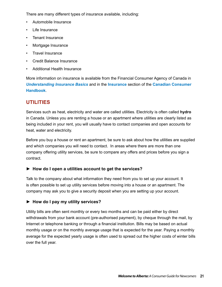<span id="page-24-0"></span>There are many different types of insurance available, including:

- Automobile Insurance
- **Life Insurance**
- Tenant Insurance
- Mortgage Insurance
- • Travel Insurance
- **Credit Balance Insurance**
- **Additional Health Insurance**

More information on insurance is available from the Financial Consumer Agency of Canada in *[Understanding Insurance Basics](http://www.fcac-acfc.gc.ca/eng/resources/publications/Insurance/InsuranceBasics/InsuranceBasics_toc-eng.asp)* and in the **[Insurance](http://www.consumerhandbook.ca/en/topics/products-and-services/insurance)** section of the **[Canadian Consumer](http://www.consumerhandbook.ca/en/)  [Handbook](http://www.consumerhandbook.ca/en/)**.

### **UTILITIES**

Services such as heat, electricity and water are called utilities. Electricity is often called **hydro** in Canada. Unless you are renting a house or an apartment where utilities are clearly listed as being included in your rent, you will usually have to contact companies and open accounts for heat, water and electricity.

Before you buy a house or rent an apartment, be sure to ask about how the utilities are supplied and which companies you will need to contact. In areas where there are more than one company offering utility services, be sure to compare any offers and prices before you sign a contract.

### **► How do I open a utilities account to get the services?**

Talk to the company about what information they need from you to set up your account. It is often possible to set up utility services before moving into a house or an apartment. The company may ask you to give a security deposit when you are setting up your account.

### **► How do I pay my utility services?**

Utility bills are often sent monthly or every two months and can be paid either by direct withdrawals from your bank account (pre-authorised payment), by cheque through the mail, by Internet or telephone banking or through a financial institution. Bills may be based on actual monthly usage or on the monthly average usage that is expected for the year. Paying a monthly average for the expected yearly usage is often used to spread out the higher costs of winter bills over the full year.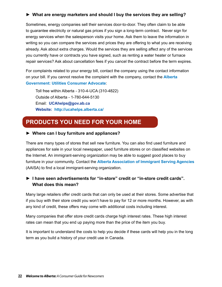### **► What are energy marketers and should I buy the services they are selling?**

Sometimes, energy companies sell their services door-to-door. They often claim to be able to guarantee electricity or natural gas prices if you sign a long-term contract. Never sign for energy services when the salesperson visits your home. Ask them to leave the information in writing so you can compare the services and prices they are offering to what you are receiving already. Ask about extra charges. Would the services they are selling affect any of the services you currently have or contracts you have signed, such as renting a water heater or furnace repair services? Ask about cancellation fees if you cancel the contract before the term expires.

For complaints related to your energy bill, contact the company using the contact information on your bill. If you cannot resolve the complaint with the company, contact the **[Alberta](http://ucahelps.alberta.ca/)  [Government: Utilities Consumer Advocate](http://ucahelps.alberta.ca/)**:

Toll free within Alberta *-* 310-4-UCA (310-4822) Outside of Alberta - 1-780-644-5130 Email: **[UCAhelps@gov.ab.ca](mailto:ucahelps@gov.ab.ca) Website: <http://ucahelps.alberta.ca/>**

# **PRODUCTS YOU NEED FOR YOUR HOME**

### **► Where can I buy furniture and appliances?**

There are many types of stores that sell new furniture. You can also find used furniture and appliances for sale in your local newspaper, used furniture stores or on classified websites on the Internet. An immigrant-serving organization may be able to suggest good places to buy furniture in your community. Contact the **[Alberta Association of Immigrant Serving Agencies](http://www.aaisa.ca)** (AAISA) to find a local immigrant-serving organization.

### **► I have seen advertisements for "in-store" credit or "in-store credit cards". What does this mean?**

Many large retailers offer credit cards that can only be used at their stores. Some advertise that if you buy with their store credit you won't have to pay for 12 or more months. However, as with any kind of credit, these offers may come with additional costs including interest.

Many companies that offer store credit cards charge high interest rates. These high interest rates can mean that you end up paying more than the price of the item you buy.

It is important to understand the costs to help you decide if these cards will help you in the long term as you build a history of your credit use in Canada.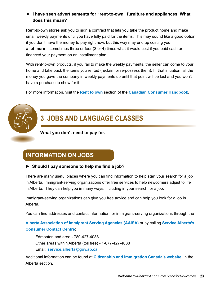### <span id="page-26-0"></span>**► I have seen advertisements for "rent-to-own" furniture and appliances. What does this mean?**

Rent-to-own stores ask you to sign a contract that lets you take the product home and make small weekly payments until you have fully paid for the items. This may sound like a good option if you don't have the money to pay right now, but this way may end up costing you **a lot more** – sometimes three or four (3 or 4) times what it would cost if you paid cash or financed your payment on an installment plan.

With rent-to-own products, if you fail to make the weekly payments, the seller can come to your home and take back the items you rented (reclaim or re-possess them). In that situation, all the money you gave the company in weekly payments up until that point will be lost and you won't have a purchase to show for it.

For more information, visit the **[Rent to own](http://www.consumerhandbook.ca/en/topics/products-and-services/rent-to-own)** section of the **[Canadian Consumer Handbook](http://www.consumerhandbook.ca/en/)**.

# **3 JOBS AND LANGUAGE CLASSES**

**What you don't need to pay for.**

# **INFORMATION ON JOBS**

### **► Should I pay someone to help me find a job?**

There are many useful places where you can find information to help start your search for a job in Alberta. Immigrant-serving organizations offer free services to help newcomers adjust to life in Alberta. They can help you in many ways, including in your search for a job.

Immigrant-serving organizations can give you free advice and can help you look for a job in Alberta.

You can find addresses and contact information for immigrant-serving organizations through the

**[Alberta Association of Immigrant Serving Agencies](http://www.aaisa.ca) (AAISA)** or by calling **Service Alberta's Consumer Contact Centre:**

Edmonton and area - 780-427-4088 Other areas within Alberta (toll free) *-* 1-877-427-4088 Email: **[service.alberta@gov.ab.ca](mailto:service.alberta@gov.ab.ca)**

Additional information can be found at **[Citizenship and Immigration Canada's website](http://www.cic.gc.ca/english/newcomers/pt/ab.asp)**, in the Alberta section.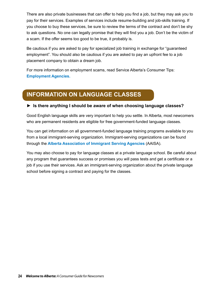There are also private businesses that can offer to help you find a job, but they may ask you to pay for their services. Examples of services include resume-building and job-skills training. If you choose to buy these services, be sure to review the terms of the contract and don't be shy to ask questions. No one can legally promise that they will find you a job. Don't be the victim of a scam. If the offer seems too good to be true, it probably is.

Be cautious if you are asked to pay for specialized job training in exchange for "guaranteed employment". You should also be cautious if you are asked to pay an upfront fee to a job placement company to obtain a dream job.

For more information on employment scams, read Service Alberta's Consumer Tips: **[Employment Agencies](http://www.servicealberta.gov.ab.ca/pdf/tipsheets/Emp_Agencies_Tipsheet.pdf).**

# **INFORMATION ON LANGUAGE CLASSES**

### **► Is there anything I should be aware of when choosing language classes?**

Good English language skills are very important to help you settle. In Alberta, most newcomers who are permanent residents are eligible for free government-funded language classes.

You can get information on all government-funded language training programs available to you from a local immigrant-serving organization. Immigrant-serving organizations can be found through the **[Alberta Association of Immigrant Serving Agencies](http://www.aaisa.ca/)** (AAISA).

You may also choose to pay for language classes at a private language school. Be careful about any program that guarantees success or promises you will pass tests and get a certificate or a job if you use their services. Ask an immigrant-serving organization about the private language school before signing a contract and paying for the classes.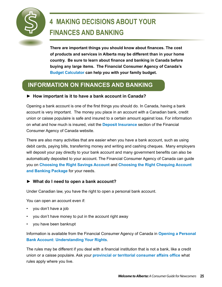<span id="page-28-0"></span>

# **4 MAKING DECISIONS ABOUT YOUR FINANCES AND BANKING**

**There are important things you should know about finances. The cost of products and services in Alberta may be different than in your home country. Be sure to learn about finance and banking in Canada before buying any large items. The Financial Consumer Agency of Canada's [Budget Calculator](http://www.fcac-acfc.gc.ca/eng/resources/toolCalculator/budgeting/index-eng.asp) can help you with your family budget.**

# **INFORMATION ON FINANCES AND BANKING**

### **► How important is it to have a bank account in Canada?**

Opening a bank account is one of the first things you should do. In Canada, having a bank account is very important. The money you place in an account with a Canadian bank, credit union or caisse populaire is safe and insured to a certain amount against loss. For information on what and how much is insured, visit the **[Deposit Insurance](http://www.fcac-acfc.gc.ca/eng/consumers/banking/depositins/index-eng.asp)** section of the Financial Consumer Agency of Canada website.

There are also many activities that are easier when you have a bank account, such as using debit cards, paying bills, transferring money and writing and cashing cheques. Many employers will deposit your pay directly to your bank account and many government benefits can also be automatically deposited to your account. The Financial Consumer Agency of Canada can guide you on **[Choosing the Right Savings Account](http://www.fcac-acfc.gc.ca/eng/resources/publications/banking/tssavechose-eng.asp)** and **[Choosing the Right Chequing Account](http://www.fcac-acfc.gc.ca/eng/resources/publications/banking/tscheqchose-eng.asp)  [and Banking Package](http://www.fcac-acfc.gc.ca/eng/resources/publications/banking/tscheqchose-eng.asp)** for your needs.

### **► What do I need to open a bank account?**

Under Canadian law, you have the right to open a personal bank account.

You can open an account even if:

- you don't have a job
- you don't have money to put in the account right away
- you have been bankrupt

Information is available from the Financial Consumer Agency of Canada in **[Opening a Personal](http://www.fcac-acfc.gc.ca/eng/resources/publications/banking/TSOpenBankAcc-eng.asp)  [Bank Account: Understanding Your Rights](http://www.fcac-acfc.gc.ca/eng/resources/publications/banking/TSOpenBankAcc-eng.asp)**.

The rules may be different if you deal with a financial institution that is not a bank, like a credit union or a caisse populaire. Ask your **[provincial or territorial consumer affairs office](http://www.consumerhandbook.ca/en/contacts/provincial-territorial-offices)** what rules apply where you live.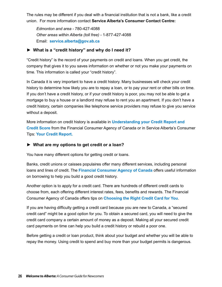The rules may be different if you deal with a financial institution that is not a bank, like a credit union. For more information contact **Service Alberta's Consumer Contact Centre:**

*Edmonton and area -* 780-427-4088 *Other areas within Alberta (toll free) -* 1-877-427-4088 Email: **[service.alberta@gov.ab.ca](mailto:service.alberta@gov.ab.ca)**

### **► What is a "credit history" and why do I need it?**

"Credit history" is the record of your payments on credit and loans. When you get credit, the company that gives it to you saves information on whether or not you make your payments on time. This information is called your "credit history".

In Canada it is very important to have a credit history. Many businesses will check your credit history to determine how likely you are to repay a loan, or to pay your rent or other bills on time. If you don't have a credit history, or if your credit history is poor, you may not be able to get a mortgage to buy a house or a landlord may refuse to rent you an apartment. If you don't have a credit history, certain companies like telephone service providers may refuse to give you service without a deposit.

More information on credit history is available in **[Understanding your Credit Report and](http://www.fcac-acfc.gc.ca/eng/resources/publications/budgetMoneyMgmt/CreditReportScore/CreditReportScoreTOC-eng.asp)  [Credit Score](http://www.fcac-acfc.gc.ca/eng/resources/publications/budgetMoneyMgmt/CreditReportScore/CreditReportScoreTOC-eng.asp)** from the Financial Consumer Agency of Canada or in Service Alberta's Consumer Tips: **[Your Credit Report.](http://www.servicealberta.ca/pdf/tipsheets/Your_Credit_Report.pdf)**

### **► What are my options to get credit or a loan?**

You have many different options for getting credit or loans.

Banks, credit unions or caisses populaires offer many different services, including personal loans and lines of credit. The **[Financial Consumer Agency of Canada](http://www.fcac-acfc.gc.ca/eng/consumers/creditloans/index-eng.asp)** offers useful information on borrowing to help you build a good credit history.

Another option is to apply for a credit card. There are hundreds of different credit cards to choose from, each offering different interest rates, fees, benefits and rewards. The Financial Consumer Agency of Canada offers tips on **[Choosing the Right Credit Card for You](http://www.fcac-acfc.gc.ca/eng/resources/publications/paymentoptions/RightCC/RightCC_toc-eng.asp)**.

If you are having difficulty getting a credit card because you are new to Canada, a "secured credit card" might be a good option for you. To obtain a secured card, you will need to give the credit card company a certain amount of money as a deposit. Making all your secured credit card payments on time can help you build a credit history or rebuild a poor one.

Before getting a credit or loan product, think about your budget and whether you will be able to repay the money. Using credit to spend and buy more than your budget permits is dangerous.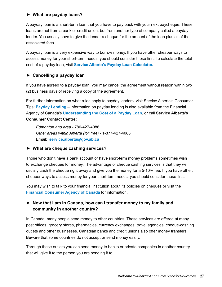### **► What are payday loans?**

A payday loan is a short-term loan that you have to pay back with your next paycheque. These loans are not from a bank or credit union, but from another type of company called a payday lender. You usually have to give the lender a cheque for the amount of the loan plus all of the associated fees.

A payday loan is a very expensive way to borrow money. If you have other cheaper ways to access money for your short-term needs, you should consider those first. To calculate the total cost of a payday loan, visit **[Service Alberta's Payday Loan Calculator.](http://www.servicealberta.gov.ab.ca/1608.cfm)**

### **► Cancelling a payday loan**

If you have agreed to a payday loan, you may cancel the agreement without reason within two (2) business days of receiving a copy of the agreement.

For further information on what rules apply to payday lenders, visit Service Alberta's Consumer Tips: **[Payday Lending](http://www.servicealberta.gov.ab.ca/pdf/tipsheets/Payday_Lending.pdf)** – information on payday lending is also available from the Financial Agency of Canada's **[Understanding the Cost of a Payday Loan](http://www.fcac-acfc.gc.ca/eng/resources/publications/mortgageloan/tspaydayl-eng.asp)**, or call **Service Alberta's Consumer Contact Centre:**

*Edmonton and area -* 780-427-4088 *Other areas within Alberta (toll free) -* 1-877-427-4088 Email: **[service.alberta@gov.ab.ca](mailto:service.alberta@gov.ab.ca)**

### **► What are cheque cashing services?**

Those who don't have a bank account or have short-term money problems sometimes wish to exchange cheques for money. The advantage of cheque cashing services is that they will usually cash the cheque right away and give you the money for a 5-10% fee. If you have other, cheaper ways to access money for your short-term needs, you should consider those first.

You may wish to talk to your financial institution about its policies on cheques or visit the **[Financial Consumer Agency of Canada](http://www.fcac-acfc.gc.ca/eng/resources/faq/qaview-eng.asp?id=256)** for information.

### **► Now that I am in Canada, how can I transfer money to my family and community in another country?**

In Canada, many people send money to other countries. These services are offered at many post offices, grocery stores, pharmacies, currency exchanges, travel agencies, cheque-cashing outlets and other businesses. Canadian banks and credit unions also offer money transfers. Beware that some countries do not accept or send money easily.

Through these outlets you can send money to banks or private companies in another country that will give it to the person you are sending it to.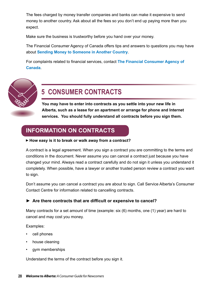<span id="page-31-0"></span>The fees charged by money transfer companies and banks can make it expensive to send money to another country. Ask about all the fees so you don't end up paying more than you expect.

Make sure the business is trustworthy before you hand over your money.

The Financial Consumer Agency of Canada offers tips and answers to questions you may have about **[Sending Money to Someone in Another Country](http://www.fcac-acfc.gc.ca/eng/consumers/otheroptions/sending/index-eng.asp)**.

For complaints related to financial services, contact **[The Financial Consumer Agency of](http://www.fcac-acfc.gc.ca/eng/resources/lodgeComplaint/index-eng.asp)  [Canada](http://www.fcac-acfc.gc.ca/eng/resources/lodgeComplaint/index-eng.asp)**.



# **5 CONSUMER CONTRACTS**

**You may have to enter into contracts as you settle into your new life in Alberta, such as a lease for an apartment or arrange for phone and Internet services. You should fully understand all contracts before you sign them.** 

## **INFORMATION ON CONTRACTS**

### **How easy is it to break or walk away from a contract?**

A contract is a legal agreement. When you sign a contract you are committing to the terms and conditions in the document. Never assume you can cancel a contract just because you have changed your mind. Always read a contract carefully and do not sign it unless you understand it completely. When possible, have a lawyer or another trusted person review a contract you want to sign.

Don't assume you can cancel a contract you are about to sign. Call Service Alberta's Consumer Contact Centre for information related to cancelling contracts.

### **► Are there contracts that are difficult or expensive to cancel?**

Many contracts for a set amount of time (example: six (6) months, one (1) year) are hard to cancel and may cost you money.

Examples:

- cell phones
- house cleaning
- gym memberships

Understand the terms of the contract before you sign it.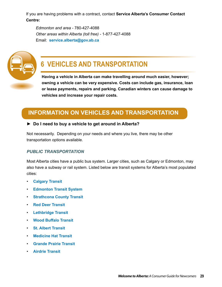<span id="page-32-0"></span>If you are having problems with a contract, contact **Service Alberta's Consumer Contact Centre:**

*Edmonton and area -* 780-427-4088 *Other areas within Alberta (toll free) -* 1-877-427-4088 Email: **[service.alberta@gov.ab.ca](mailto:service.alberta@gov.ab.ca)**



# **6 VEHICLES AND TRANSPORTATION**

**Having a vehicle in Alberta can make travelling around much easier, however; owning a vehicle can be very expensive. Costs can include gas, insurance, loan or lease payments, repairs and parking. Canadian winters can cause damage to vehicles and increase your repair costs.** 

## **INFORMATION ON VEHICLES AND TRANSPORTATION**

### **► Do I need to buy a vehicle to get around in Alberta?**

Not necessarily. Depending on your needs and where you live, there may be other transportation options available.

### *PUBLIC TRANSPORTATION*

Most Alberta cities have a public bus system. Larger cities, such as Calgary or Edmonton, may also have a subway or rail system. Listed below are transit systems for Alberta's most populated cities:

- • **[Calgary Transit](http://www.calgarytransit.com/)**
- **[Edmonton Transit System](http://www.edmonton.ca/transportation/edmonton-transit-system-ets.aspx)**
- • **[Strathcona County Transit](http://www.strathcona.ca/departments/transit.aspx)**
- • **[Red Deer Transit](http://www.reddeer.ca/City+Government/City+Services+and+Departments/Transit/default.htm)**
- • **[Lethbridge Transit](http://www.lethbridge.ca/living-here/getting-around/Transit/Pages/default.aspx)**
- • **[Wood Buffalo Transit](http://www.woodbuffalo.ab.ca/Municipal-Government/municipal_departments/Public-Operations/Wood-Buffalo-Transit.htm)**
- • **[St. Albert Transit](http://www.stalbert.ca/transit/)**
- • **[Medicine Hat Transit](http://www.medicinehat.ca/index.aspx?page=196)**
- • **[Grande Prairie Transit](http://www.cityofgp.com/index.aspx?page=155)**
- • **[Airdrie Transit](http://www.airdrie.ca/transit/index.cfm)**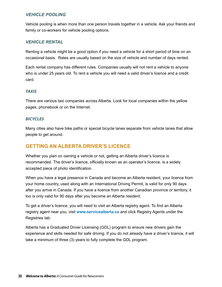### <span id="page-33-0"></span>*VEHICLE POOLING*

Vehicle pooling is when more than one person travels together in a vehicle. Ask your friends and family or co-workers for vehicle pooling options.

### *VEHICLE RENTAL*

Renting a vehicle might be a good option if you need a vehicle for a short period of time on an occasional basis. Rates are usually based on the size of vehicle and number of days rented.

Each rental company has different rules. Companies usually will not rent a vehicle to anyone who is under 25 years old. To rent a vehicle you will need a valid driver's licence and a credit card.

### *TAXIS*

There are various taxi companies across Alberta. Look for local companies within the yellow pages, phonebook or on the Internet.

### *BICYCLES*

Many cities also have bike paths or special bicycle lanes separate from vehicle lanes that allow people to get around.

### **GETTING AN ALBERTA DRIVER'S LICENCE**

Whether you plan on owning a vehicle or not, getting an Alberta driver's licence is recommended. The driver's licence, officially known as an operator's licence, is a widely accepted piece of photo identification.

When you have a legal presence in Canada and become an Alberta resident, your licence from your home country, used along with an International Driving Permit, is valid for only 90 days after you arrive in Canada. If you have a licence from another Canadian province or territory, it too is only valid for 90 days after you become an Alberta resident.

To get a driver's licence, you will need to visit an Alberta registry agent. To find an Alberta registry agent near you, visit **<www.servicealberta.ca>** and click Registry Agents under the Registries tab.

Alberta has a Graduated Driver Licensing (GDL) program to ensure new drivers gain the experience and skills needed for safe driving. If you do not already have a driver's licence, it will take a minimum of three (3) years to fully complete the GDL program.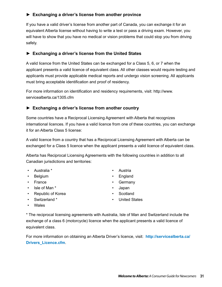### **► Exchanging a driver's license from another province**

If you have a valid driver's license from another part of Canada, you can exchange it for an equivalent Alberta license without having to write a test or pass a driving exam. However, you will have to show that you have no medical or vision problems that could stop you from driving safely.

### **► Exchanging a driver's license from the United States**

A valid licence from the United States can be exchanged for a Class 5, 6, or 7 when the applicant presents a valid licence of equivalent class. All other classes would require testing and applicants must provide applicable medical reports and undergo vision screening. All applicants must bring acceptable identification and proof of residency.

For more information on identification and residency requirements, visit: http://www. servicealberta.ca/1305.cfm

### **► Exchanging a driver's license from another country**

Some countries have a Reciprocal Licensing Agreement with Alberta that recognizes international licences. If you have a valid licence from one of these countries, you can exchange it for an Alberta Class 5 license:

A valid licence from a country that has a Reciprocal Licensing Agreement with Alberta can be exchanged for a Class 5 licence when the applicant presents a valid licence of equivalent class.

Alberta has Reciprocal Licensing Agreements with the following countries in addition to all Canadian jurisdictions and territories:

- • Australia \* • Austria
- 
- 
- Isle of Man \* **•** Japan
- Republic of Korea Scotland
- • Switzerland \* • United States
- 
- Belgium England
- France Germany
	-
	-
	-

• Wales

\* The reciprocal licensing agreements with Australia, Isle of Man and Switzerland include the exchange of a class 6 (motorcycle) licence when the applicant presents a valid licence of equivalent class.

For more information on obtaining an Alberta Driver's licence, visit: **[http://servicealberta.ca/](http://servicealberta.ca/Drivers_Licence.cfm) [Drivers\\_Licence.cfm](http://servicealberta.ca/Drivers_Licence.cfm)**.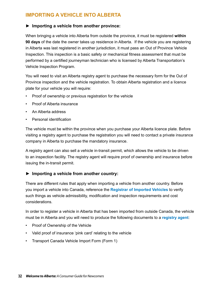### <span id="page-35-0"></span>**IMPORTING A VEHICLE INTO ALBERTA**

### **► Importing a vehicle from another province:**

When bringing a vehicle into Alberta from outside the province, it must be registered **within 90 days** of the date the owner takes up residence in Alberta. If the vehicle you are registering in Alberta was last registered in another jurisdiction, it must pass an Out of Province Vehicle Inspection. This inspection is a basic safety or mechanical fitness assessment that must be performed by a certified journeyman technician who is licensed by Alberta Transportation's Vehicle Inspection Program.

You will need to visit an Alberta registry agent to purchase the necessary form for the Out of Province inspection and the vehicle registration. To obtain Alberta registration and a licence plate for your vehicle you will require:

- Proof of ownership or previous registration for the vehicle
- Proof of Alberta insurance
- An Alberta address
- Personal identification

The vehicle must be within the province when you purchase your Alberta licence plate. Before visiting a registry agent to purchase the registration you will need to contact a private insurance company in Alberta to purchase the mandatory insurance.

A registry agent can also sell a vehicle in-transit permit, which allows the vehicle to be driven to an inspection facility. The registry agent will require proof of ownership and insurance before issuing the in-transit permit.

### **► Importing a vehicle from another country:**

There are different rules that apply when importing a vehicle from another country. Before you import a vehicle into Canada, reference the **[Registrar of Imported Vehicles](https://www.riv.ca/Home.aspx)** to verify such things as vehicle admissibility, modification and inspection requirements and cost considerations.

In order to register a vehicle in Alberta that has been imported from outside Canada, the vehicle must be in Alberta and you will need to produce the following documents to a **[registry agent](http://www.servicealberta.gov.ab.ca/1641.cfm)**:

- Proof of Ownership of the Vehicle
- Valid proof of insurance 'pink card' relating to the vehicle
- Transport Canada Vehicle Import Form (Form 1)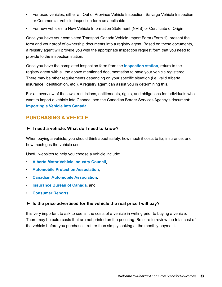- <span id="page-36-0"></span>• For used vehicles, either an Out of Province Vehicle Inspection, Salvage Vehicle Inspection or Commercial Vehicle Inspection form as applicable
- For new vehicles, a New Vehicle Information Statement (NVIS) or Certificate of Origin

Once you have your completed Transport Canada Vehicle Import Form (Form 1), present the form and your proof of ownership documents into a registry agent. Based on these documents, a registry agent will provide you with the appropriate inspection request form that you need to provide to the inspection station.

Once you have the completed inspection form from the **[inspection station](http://www2.infratrans.gov.ab.ca/vis/production/vishome.asp)**, return to the registry agent with all the above mentioned documentation to have your vehicle registered. There may be other requirements depending on your specific situation (i.e. valid Alberta insurance, identification, etc.). A registry agent can assist you in determining this.

For an overview of the laws, restrictions, entitlements, rights, and obligations for individuals who want to import a vehicle into Canada, see the Canadian Border Services Agency's document: **[Importing a Vehicle into Canada](http://www.cbsa-asfc.gc.ca/publications/pub/bsf5048-eng.pdf)**.

### **PURCHASING A VEHICLE**

### **► I need a vehicle. What do I need to know?**

When buying a vehicle, you should think about safety, how much it costs to fix, insurance, and how much gas the vehicle uses.

Useful websites to help you choose a vehicle include:

- **[Alberta Motor Vehicle Industry Council](http://www.amvic.org/),**
- • **[Automobile Protection Association](http://www.apa.ca)**,
- • **[Canadian Automobile Association](http://www.caa.ca)**,
- • **[Insurance Bureau of Canada](http://www.ibc.ca)**, and
- • **[Consumer Reports](http://www.consumerreports.org/cro/canadaextra/index.htm)**.

### **► Is the price advertised for the vehicle the real price I will pay?**

It is very important to ask to see all the costs of a vehicle in writing prior to buying a vehicle. There may be extra costs that are not printed on the price tag. Be sure to review the total cost of the vehicle before you purchase it rather than simply looking at the monthly payment.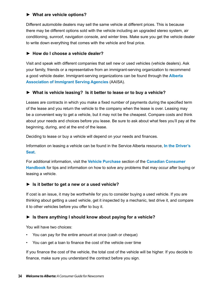### **► What are vehicle options?**

Different automobile dealers may sell the same vehicle at different prices. This is because there may be different options sold with the vehicle including an upgraded stereo system, air conditioning, sunroof, navigation console, and winter tires. Make sure you get the vehicle dealer to write down everything that comes with the vehicle and final price.

### **► How do I choose a vehicle dealer?**

Visit and speak with different companies that sell new or used vehicles (vehicle dealers). Ask your family, friends or a representative from an immigrant-serving organization to recommend a good vehicle dealer. Immigrant-serving organizations can be found through the **[Alberta](http://www.aaisa.ca/)  [Association of Immigrant Serving Agencies](http://www.aaisa.ca/)** (AAISA).

### **► What is vehicle leasing? Is it better to lease or to buy a vehicle?**

Leases are contracts in which you make a fixed number of payments during the specified term of the lease and you return the vehicle to the company when the lease is over. Leasing may be a convenient way to get a vehicle, but it may not be the cheapest. Compare costs and think about your needs and choices before you lease. Be sure to ask about what fees you'll pay at the beginning, during, and at the end of the lease.

Deciding to lease or buy a vehicle will depend on your needs and finances.

Information on leasing a vehicle can be found in the Service Alberta resource, **[In the Driver's](http://www.servicealberta.gov.ab.ca/pdf/reality_choices/The_Drivers_Seat.pdf)  [Seat](http://www.servicealberta.gov.ab.ca/pdf/reality_choices/The_Drivers_Seat.pdf).** 

For additional information, visit the **[Vehicle Purchase](http://www.consumerhandbook.ca/en/topics/products-and-services/vehicle-purchase)** section of the **[Canadian Consumer](http://www.consumerhandbook.ca/en/)  [Handbook](http://www.consumerhandbook.ca/en/)** for tips and information on how to solve any problems that may occur after buying or leasing a vehicle.

### **► Is it better to get a new or a used vehicle?**

If cost is an issue, it may be worthwhile for you to consider buying a used vehicle. If you are thinking about getting a used vehicle, get it inspected by a mechanic, test drive it, and compare it to other vehicles before you offer to buy it.

### **► Is there anything I should know about paying for a vehicle?**

You will have two choices:

- You can pay for the entire amount at once (cash or cheque)
- You can get a loan to finance the cost of the vehicle over time

If you finance the cost of the vehicle, the total cost of the vehicle will be higher. If you decide to finance, make sure you understand the contract before you sign.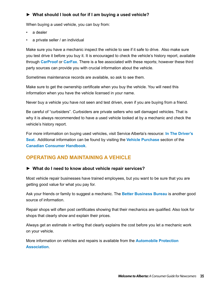### <span id="page-38-0"></span>**► What should I look out for if I am buying a used vehicle?**

When buying a used vehicle, you can buy from:

- a dealer
- a private seller / an individual

Make sure you have a mechanic inspect the vehicle to see if it safe to drive. Also make sure you test drive it before you buy it. It is encouraged to check the vehicle's history report, available through **[CarProof](https://www.carproof.com/home.aspx)** or **[CarFax](http://www.carfax.com/)**. There is a fee associated with these reports; however these third party sources can provide you with crucial information about the vehicle.

Sometimes maintenance records are available, so ask to see them.

Make sure to get the ownership certificate when you buy the vehicle. You will need this information when you have the vehicle licensed in your name.

Never buy a vehicle you have not seen and test driven, even if you are buying from a friend.

Be careful of "curbsiders". Curbsiders are private sellers who sell damaged vehicles. That is why it is always recommended to have a used vehicle looked at by a mechanic and check the vehicle's history report.

For more information on buying used vehicles, visit Service Alberta's resource: **[In The Driver's](http://www.servicealberta.ca/pdf/reality_choices/The_Drivers_Seat.pdf)  [Seat](http://www.servicealberta.ca/pdf/reality_choices/The_Drivers_Seat.pdf).** Additional information can be found by visiting the **[Vehicle Purchase](http://www.consumerhandbook.ca/en/topics/products-and-services/vehicle-purchase)** section of the **[Canadian Consumer Handbook](http://www.consumerhandbook.ca/en/)**.

### **OPERATING AND MAINTAINING A VEHICLE**

### **► What do I need to know about vehicle repair services?**

Most vehicle repair businesses have trained employees, but you want to be sure that you are getting good value for what you pay for.

Ask your friends or family to suggest a mechanic. The **[Better Business Bureau](http://www.consumerhandbook.ca/en/contacts/better-business-bureaus)** is another good source of information.

Repair shops will often post certificates showing that their mechanics are qualified. Also look for shops that clearly show and explain their prices.

Always get an estimate in writing that clearly explains the cost before you let a mechanic work on your vehicle.

More information on vehicles and repairs is available from the **[Automobile Protection](http://www.apa.ca/)  [Association](http://www.apa.ca/)**.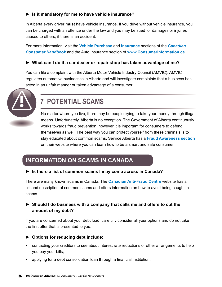### <span id="page-39-0"></span>**► Is it mandatory for me to have vehicle insurance?**

In Alberta every driver **must** have vehicle insurance. If you drive without vehicle insurance, you can be charged with an offence under the law and you may be sued for damages or injuries caused to others, if there is an accident.

For more information, visit the **[Vehicle Purchase](http://www.consumerhandbook.ca/en/topics/products-and-services/vehicle-purchase)** and **[Insurance](http://www.consumerhandbook.ca/en/topics/products-and-services/insurance)** sections of the *[Canadian](http://www.consumerhandbook.ca/en/)  [Consumer Handbook](http://www.consumerhandbook.ca/en/)* and the Auto Insurance section of **<www.ConsumerInformation.ca>**.

### **► What can I do if a car dealer or repair shop has taken advantage of me?**

You can file a complaint with the Alberta Motor Vehicle Industry Council (AMVIC). AMVIC regulates automotive businesses in Alberta and will investigate complaints that a business has acted in an unfair manner or taken advantage of a consumer.



# **7 POTENTIAL SCAMS**

No matter where you live, there may be people trying to take your money through illegal means. Unfortunately, Alberta is no exception. The Government of Alberta continuously works towards fraud prevention; however it is important for consumers to defend themselves as well. The best way you can protect yourself from these criminals is to stay educated about common scams. Service Alberta has a **[Fraud Awareness section](http://www.servicealberta.ca/560.cfm)** on their website where you can learn how to be a smart and safe consumer.

## **INFORMATION ON SCAMS IN CANADA**

**► Is there a list of common scams I may come across in Canada?**

There are many known scams in Canada. The **[Canadian Anti-Fraud Centre](http://www.phonebusters.com/english/recognizeit.html)** website has a list and description of common scams and offers information on how to avoid being caught in scams.

### **► Should I do business with a company that calls me and offers to cut the amount of my debt?**

If you are concerned about your debt load, carefully consider all your options and do not take the first offer that is presented to you.

- **► Options for reducing debt include:**
- contacting your creditors to see about interest rate reductions or other arrangements to help you pay your bills;
- applying for a debt consolidation loan through a financial institution;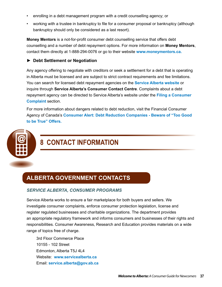- <span id="page-40-0"></span>enrolling in a debt management program with a credit counselling agency; or
- working with a trustee in bankruptcy to file for a consumer proposal or bankruptcy (although bankruptcy should only be considered as a last resort).

**Money Mentors** is a not-for-profit consumer debt counselling service that offers debt counselling and a number of debt repayment options. For more information on **Money Mentors**, contact them directly at 1-888-294-0076 or go to their website **[www.moneymentors.ca.](http://www.moneymentors.ca/)**

### **► Debt Settlement or Negotiation**

Any agency offering to negotiate with creditors or seek a settlement for a debt that is operating in Alberta must be licensed and are subject to strict contract requirements and fee limitations. You can search for licensed debt repayment agencies on the **[Service Alberta website](http://www.servicealberta.gov.ab.ca/183.cfm)** or inquire through **Service Alberta's Consumer Contact Centre**. Complaints about a debt repayment agency can be directed to Service Alberta's website under the **[Filing a Consumer](http://www.servicealberta.gov.ab.ca/562.cfm)  [Complaint](http://www.servicealberta.gov.ab.ca/562.cfm)** section.

For more information about dangers related to debt reduction, visit the Financial Consumer Agency of Canada's **[Consumer Alert: Debt Reduction Companies - Beware of "Too Good](http://www.fcac-acfc.gc.ca/eng/resources/consumeralerts/alerts_posting-eng.asp?postingId=393)  [to be True" Offers.](http://www.fcac-acfc.gc.ca/eng/resources/consumeralerts/alerts_posting-eng.asp?postingId=393)**



# **8 CONTACT INFORMATION**

## **ALBERTA GOVERNMENT CONTACTS**

### *SERVICE ALBERTA, CONSUMER PROGRAMS*

Service Alberta works to ensure a fair marketplace for both buyers and sellers. We investigate consumer complaints, enforce consumer protection legislation, license and register regulated businesses and charitable organizations. The department provides an appropriate regulatory framework and informs consumers and businesses of their rights and responsibilities. Consumer Awareness, Research and Education provides materials on a wide range of topics free of charge.

3rd Floor Commerce Place 10155 - 102 Street Edmonton, Alberta T5J 4L4 Website: **www[.servicealberta.ca](www.servicealberta.ca)** Email: **[service.alberta@gov.ab.ca](mailto:service.alberta@gov.ab.ca)**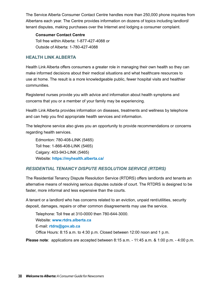The Service Alberta Consumer Contact Centre handles more than 250,000 phone inquiries from Albertans each year. The Centre provides information on dozens of topics including landlord/ tenant disputes, making purchases over the Internet and lodging a consumer complaint.

### **Consumer Contact Centre**

Toll free within Alberta: 1-877-427-4088 or Outside of Alberta: 1-780-427-4088

### **HEALTH LINK ALBERTA**

Health Link Alberta offers consumers a greater role in managing their own health so they can make informed decisions about their medical situations and what healthcare resources to use at home. The result is a more knowledgeable public, fewer hospital visits and healthier communities.

Registered nurses provide you with advice and information about health symptoms and concerns that you or a member of your family may be experiencing.

Health Link Alberta provides information on diseases, treatments and wellness by telephone and can help you find appropriate health services and information.

The telephone service also gives you an opportunity to provide recommendations or concerns regarding health services.

Edmonton: 780-408-LINK (5465) Toll free: 1-866-408-LINK (5465) Calgary: 403-943-LINK (5465) Website: **<https://myhealth.alberta.ca/>**

### *RESIDENTIAL TENANCY DISPUTE RESOLUTION SERVICE (RTDRS)*

The Residential Tenancy Dispute Resolution Service (RTDRS) offers landlords and tenants an alternative means of resolving serious disputes outside of court. The RTDRS is designed to be faster, more informal and less expensive than the courts.

A tenant or a landlord who has concerns related to an eviction, unpaid rent/utilities, security deposit, damages, repairs or other common disagreements may use the service.

Telephone: Toll free at 310-0000 then 780-644-3000. Website: **[www.rtdrs.alberta.ca](http://www.rtdrs.alberta.ca)** E-mail: **[rtdrs@gov.ab.ca](mailto:rtdrs@gov.ab.ca)** Office Hours: 8:15 a.m. to 4:30 p.m. Closed between 12:00 noon and 1 p.m.

**Please note**: applications are accepted between 8:15 a.m. - 11:45 a.m. & 1:00 p.m. - 4:00 p.m.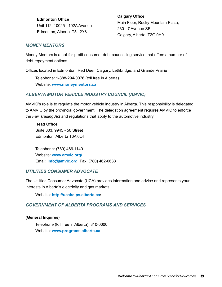**Edmonton Office** Unit 112, 10025 - 102A Avenue Edmonton, Alberta T5J 2Y8

**Calgary Office** Main Floor, Rocky Mountain Plaza, 230 - 7 Avenue SE Calgary, Alberta T2G 0H9

### *MONEY MENTORS*

Money Mentors is a not-for-profit consumer debt counselling service that offers a number of debt repayment options.

Offices located in Edmonton, Red Deer, Calgary, Lethbridge, and Grande Prairie

Telephone: 1-888-294-0076 (toll free in Alberta) Website: **[www.moneymentors.ca](http://www.moneymentors.ca)**

### *ALBERTA MOTOR VEHICLE INDUSTRY COUNCIL (AMVIC)*

AMVIC's role is to regulate the motor vehicle industry in Alberta. This responsibility is delegated to AMVIC by the provincial government. The delegation agreement requires AMVIC to enforce the *Fair Trading Act* and regulations that apply to the automotive industry.

**Head Office** Suite 303, 9945 - 50 Street Edmonton, Alberta T6A 0L4

Telephone: (780) 466-1140 Website: **[www.amvic.org/](http://www.amvic.org/)** Email: **[info@amvic.org](mailto:info@amvic.org)** Fax: (780) 462-0633

### *UTILITIES CONSUMER ADVOCATE*

The Utilities Consumer Advocate (UCA) provides information and advice and represents your interests in Alberta's electricity and gas markets.

Website: **<http://ucahelps.alberta.ca>**/

### *GOVERNMENT OF ALBERTA PROGRAMS AND SERVICES*

### **(General Inquires)**

Telephone (toll free in Alberta): 310-0000 Website: **[www.programs.alberta.ca](http://www.programs.alberta.ca)**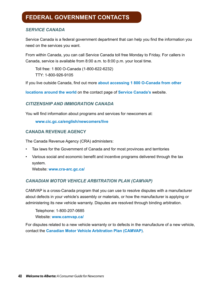# <span id="page-43-0"></span>**FEDERAL GOVERNMENT CONTACTS**

### *SERVICE CANADA*

Service Canada is a federal government department that can help you find the information you need on the services you want.

From within Canada, you can call Service Canada toll free Monday to Friday. For callers in Canada, service is available from 8:00 a.m. to 8:00 p.m. your local time.

Toll free: 1 800 O-Canada (1-800-622-6232) TTY: 1-800-926-9105

If you live outside Canada, find out more **[about accessing 1 800 O-Canada from other](http://www.servicecanada.gc.ca/eng/common/contactus/phone.shtml)**

**[locations around the world](http://www.servicecanada.gc.ca/eng/common/contactus/phone.shtml)** on the contact page of **[Service Canada's](http://www.servicecanada.gc.ca/eng/common/contactus/)** website.

### *CITIZENSHIP AND IMMIGRATION CANADA*

You will find information about programs and services for newcomers at:

**<www.cic.gc.ca/english/newcomers/live>**

### **CANADA REVENUE AGENCY**

The Canada Revenue Agency (CRA) administers:

- Tax laws for the Government of Canada and for most provinces and territories
- Various social and economic benefit and incentive programs delivered through the tax system.

Website: **[www.cra-arc.gc.ca/](http://www.cra-arc.gc.ca/)**

### *CANADIAN MOTOR VEHICLE ARBITRATION PLAN (CAMVAP)*

CAMVAP is a cross-Canada program that you can use to resolve disputes with a manufacturer about defects in your vehicle's assembly or materials, or how the manufacturer is applying or administering its new vehicle warranty. Disputes are resolved through binding arbitration.

Telephone: 1-800-207-0685 Website: **[www.camvap.ca/](http://www.camvap.ca/)**

For disputes related to a new vehicle warranty or to defects in the manufacture of a new vehicle, contact the **[Canadian Motor Vehicle Arbitration Plan \(CAMVAP\)](http://www.camvap.ca/)**.